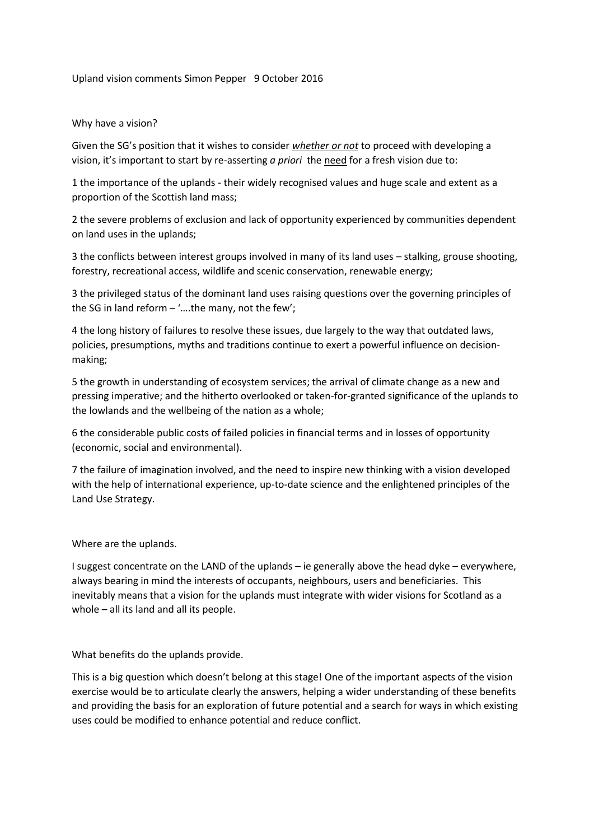## Upland vision comments Simon Pepper 9 October 2016

## Why have a vision?

Given the SG's position that it wishes to consider *whether or not* to proceed with developing a vision, it's important to start by re-asserting *a priori* the need for a fresh vision due to:

1 the importance of the uplands - their widely recognised values and huge scale and extent as a proportion of the Scottish land mass;

2 the severe problems of exclusion and lack of opportunity experienced by communities dependent on land uses in the uplands;

3 the conflicts between interest groups involved in many of its land uses – stalking, grouse shooting, forestry, recreational access, wildlife and scenic conservation, renewable energy;

3 the privileged status of the dominant land uses raising questions over the governing principles of the SG in land reform – '….the many, not the few';

4 the long history of failures to resolve these issues, due largely to the way that outdated laws, policies, presumptions, myths and traditions continue to exert a powerful influence on decisionmaking;

5 the growth in understanding of ecosystem services; the arrival of climate change as a new and pressing imperative; and the hitherto overlooked or taken-for-granted significance of the uplands to the lowlands and the wellbeing of the nation as a whole;

6 the considerable public costs of failed policies in financial terms and in losses of opportunity (economic, social and environmental).

7 the failure of imagination involved, and the need to inspire new thinking with a vision developed with the help of international experience, up-to-date science and the enlightened principles of the Land Use Strategy.

Where are the uplands.

I suggest concentrate on the LAND of the uplands – ie generally above the head dyke – everywhere, always bearing in mind the interests of occupants, neighbours, users and beneficiaries. This inevitably means that a vision for the uplands must integrate with wider visions for Scotland as a whole – all its land and all its people.

What benefits do the uplands provide.

This is a big question which doesn't belong at this stage! One of the important aspects of the vision exercise would be to articulate clearly the answers, helping a wider understanding of these benefits and providing the basis for an exploration of future potential and a search for ways in which existing uses could be modified to enhance potential and reduce conflict.